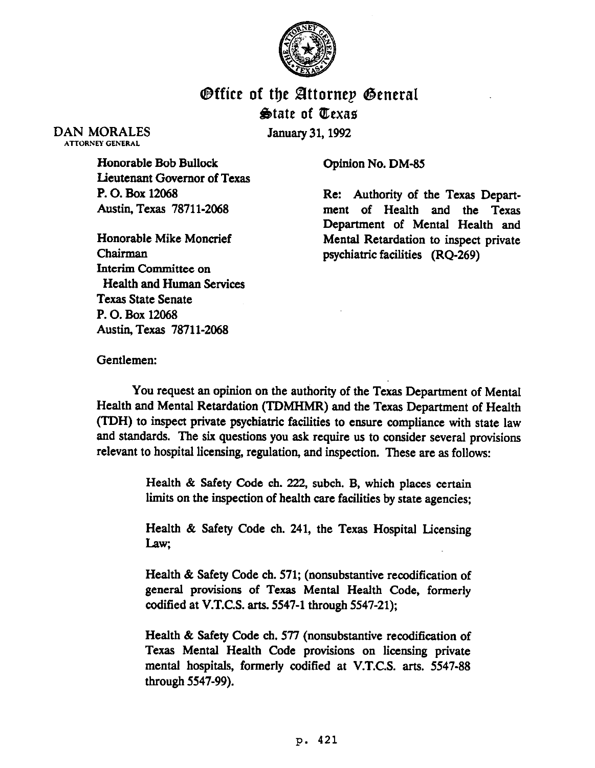

## **Office of the Attorney General Qtate of IEexae**

DAN MORALES ATTORNEY GENERAL

January 31,1992

Honorable Bob Bullock Lieutenant Governor of Texas P. 0. Box 12068 Austin, Texas 78711-2068

Honorable Mike Moncrief Chairman Interim Committee on Health and Human Services Texas State Senate P. 0. Box 12068 Austin, Texas 78711-2068

Opinion No. DM-85

Re: Authority of the Texas Department of Health and the Texas Department of Mental Health and Mental Retardation to inspect private psychiatric facilities (RQ-269)

Gentlemen:

You request an opinion on the authority of the Texas Department of Mental Health and Mental Retardation (TDMHMR) and the Texas Department of Health (TDH) to inspect private psychiatric facilities to ensure compliance with state law and standards. The six questions you ask require us to consider several provisions relevant to hospital licensing, regulation, and inspection. These are as follows:

> Health & Safety Code ch. 222, subch. B, which places certain limits on the inspection of health care facilities by state agencies;

> Health & Safety Code ch. 241, the Texas Hospital Licensing **Law;**

> Health & Safety Code ch. 571; (nonsubstantive recodification of general provisions of Texas Mental Health Code, formerly codified at V.T.C.S. arts. 5547-l through 5547-21);

> Health & Safety Code ch. 577 (nonsubstantive recodification of Texas Mental Health Code provisions on licensing private mental hospitals, formerly codified at V.T.C.S. arts. 5547-88 through 5547-99).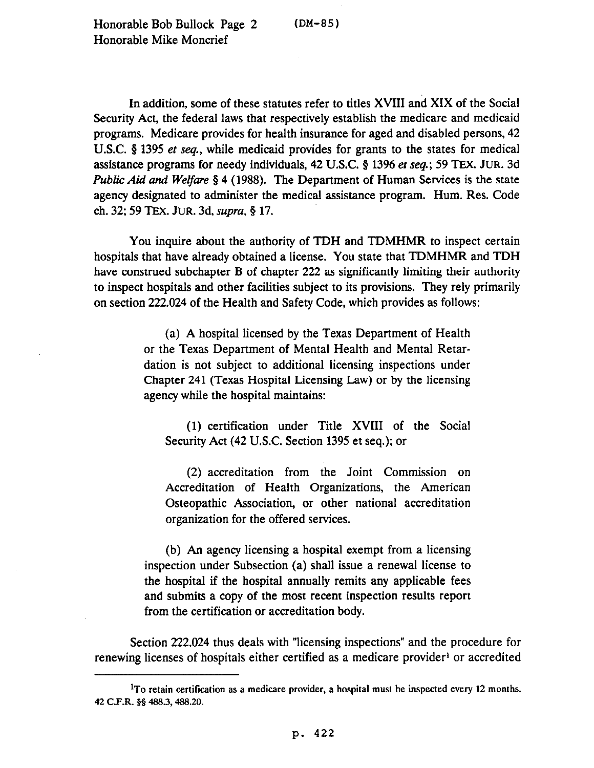In addition, some of these statutes refer to titles XVIII and XIX of the Social Security Act, the federal laws that respectively establish the medicare and medicaid programs. Medicare provides for health insurance for aged and disabled persons, 42 U.S.C. § 1395 et seq., while medicaid provides for grants to the states for medical assistance programs for needy individuals, 42 USC. 9 1396 et *seq.;* 59 TEX. JUR. 3d *Public Aid and Welfare* § 4 (1988). The Department of Human Services is the state agency designated to administer the medical assistance program. Hum. Res. Code ch. *32; 59 TEX.* JUR. 3d, *supra, \$17.* 

You inquire about the authority of TDH and TDMHMR to inspect certain hospitals that have already obtained a license. You state that TDMHMR and TDH have construed subchapter B of chapter 222 as significantly limiting their authority to inspect hospitals and other facilities subject to its provisions. They rely primarily on section 222.024 of the Health and Safety Code, which provides as follows:

> (a) A hospital licensed by the Texas Department of Health or the Texas Department of Mental Health and Mental Retardation is not subject to additional licensing inspections under Chapter 241 (Texas Hospital Licensing Law) or by the licensing agency while the hospital maintains:

(1) certification under Title XVIII of the Social Security Act (42 U.S.C. Section 1395 et seq.); or

(2) accreditation from the Joint Commission on Accreditation of Health Organizations, the American Osteopathic Association, or other national accreditation organization for the offered services.

(b) An agency licensing a hospital exempt from a licensing inspection under Subsection (a) shall issue a renewal license to the hospital if the hospital annually remits any applicable fees and submits a copy of the most recent inspection results report from the certification or accreditation body.

Section 222.024 thus deals with "licensing inspections" and the procedure for renewing licenses of hospitals either certified as a medicare provider' or accredited

 ${}^{1}$ To retain certification as a medicare provider, a hospital must be inspected every 12 months. 42 C.F.R. §§ 488.3, 488.20.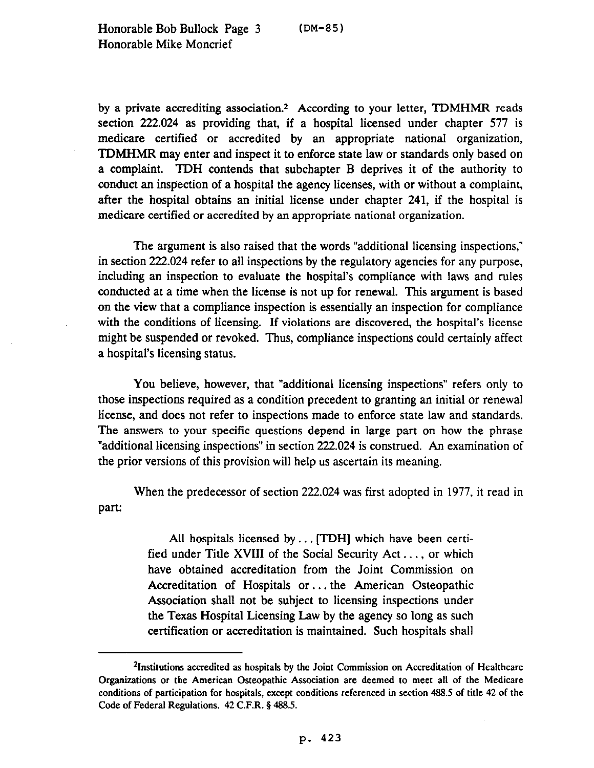by a private accrediting association.<sup>2</sup> According to your letter, TDMHMR reads section 222.024 as providing that, if a hospital licensed under chapter 577 is medicare certified or accredited by an appropriate national organization, TDMHMR may enter and inspect it to enforce state law or standards only based on a complaint. TDH contends that subchapter B deprives it of the authority to conduct an inspection of a hospital the agency licenses, with or without a complaint, after the hospital obtains an initial license under chapter 241, if the hospital is medicare certified or accredited by an appropriate national organization.

The argument is also raised that the words "additional licensing inspections," in section 222.024 refer to all inspections by the regulatory agencies for any purpose, including an inspection to evaluate the hospital's compliance with laws and rules conducted at a time when the license is not up for renewal. This argument is based on the view that a compliance inspection is essentially an inspection for compliance with the conditions of licensing. If violations are discovered, the hospital's license might be suspended or revoked. Thus, compliance inspections could certainly affect a hospital's licensing status.

You believe, however, that "additional licensing inspections" refers only to those inspections required as a condition precedent to granting an initial or renewal license, and does not refer to inspections made to enforce state law and standards. The answers to your specific questions depend in large part on how the phrase "additional licensing inspections" in section 222.024 is construed. An examination of the prior versions of this provision will help us ascertain its meaning.

When the predecessor of section 222.024 was first adopted in 1977, it read in part:

> All hospitals licensed by.. . [TDH] which have been certified under Title XVIII of the Social Security Act. . . , or which have obtained accreditation from the Joint Commission on Accreditation of Hospitals or. . . the American Osteopathic Association shall not be subject to licensing inspections under the Texas Hospital Licensing Law by the agency so long as such certification or accreditation is maintained. Such hospitals shall

<sup>&</sup>lt;sup>2</sup>Institutions accredited as hospitals by the Joint Commission on Accreditation of Healthcare Organizations or the American Osteopathic Association are deemed to meet all of the Medicare conditions of participation for hospitals, except conditions referenced in section 488.5 of title 42 of the Code of Federal Regulations. 42 C.F.R. § 488.5.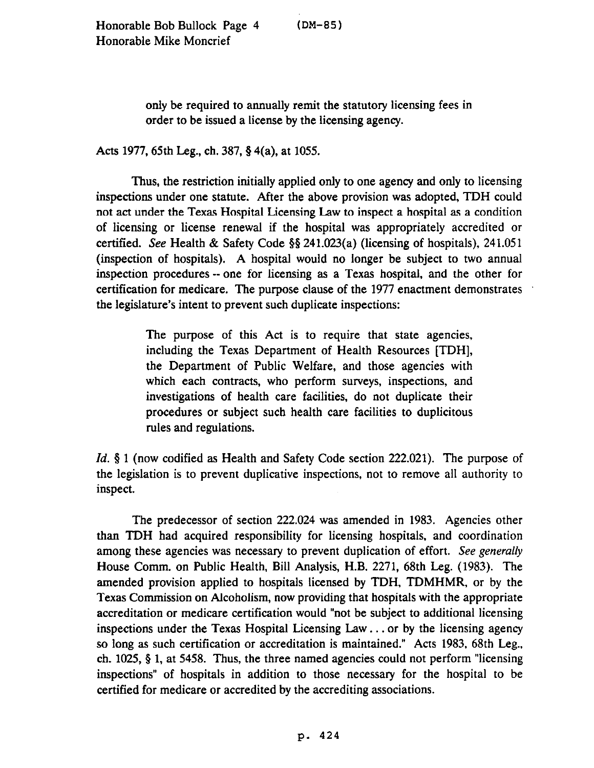only be required to annually remit the statutory licensing fees in order to be issued a license by the licensing agency.

Acts 1977, 65th Leg., ch. 387,  $\S$  4(a), at 1055.

Thus, the restriction initially applied only to one agency and only to licensing inspections under one statute. After the above provision was adopted, TDH could not act under the Texas Hospital Licensing Law to inspect a hospital as a condition of licensing or license renewal if the hospital was appropriately accredited or certified. See Health & Safety Code 5\$241.023(a) (licensing of hospitals), 241.051 (inspection of hospitals). A hospital would no longer be subject to two annual inspection procedures -- one for licensing as a Texas hospital, and the other for certification for medicare. The purpose clause of the 1977 enactment demonstrates the legislature's intent to prevent such duplicate inspections:

> The purpose of this Act is to require that state agencies, including the Texas Department of Health Resources [TDH], the Department of Public Welfare, and those agencies with which each contracts, who perform surveys, inspections, and investigations of health care facilities, do not duplicate their procedures or subject such health care facilities to duplicitous rules and regulations.

*Id.* § 1 (now codified as Health and Safety Code section 222.021). The purpose of the legislation is to prevent duplicative inspections, not to remove all authority to inspect.

The predecessor of section 222.024 was amended in 1983. Agencies other than TDH had acquired responsibility for licensing hospitals, and coordination among these agencies was necessary to prevent duplication of effort. See generally House Comm. on Public Health, Bill Analysis, H.B. 2271, 68th Leg. (1983). The amended provision applied to hospitals licensed by TDH, TDMHMR, or by the Texas Commission on Alcoholism, now providing that hospitals with the appropriate accreditation or medicare certification would "not be subject to additional licensing inspections under the Texas Hospital Licensing Law.. . or by the licensing agency so long as such certification or accreditation is maintained." Acts 1983, 68th Leg., ch. 1025,  $\S$  1, at 5458. Thus, the three named agencies could not perform "licensing inspections" of hospitals in addition to those necessary for the hospital to be certified for medicare or accredited by the accrediting associations.

P- 424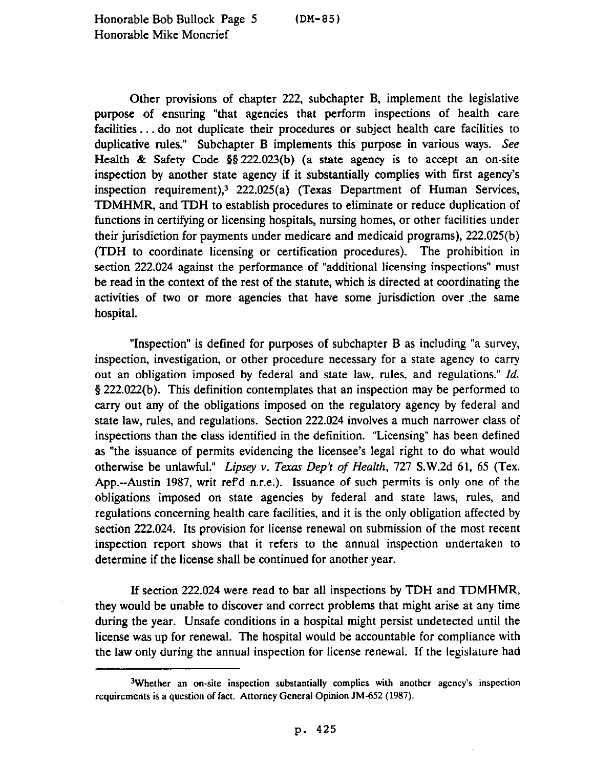Other provisions of chapter 222, subchapter B, implement the legislative purpose of ensuring "that agencies that perform inspections of health care facilities ... do not duplicate their procedures or subject health care facilities to duplicative rules." Subchapter B implements this purpose in various ways. See Health & Safety Code §§ 222.023(b) (a state agency is to accept an on-site inspection by another state agency if it substantially complies with first agency's inspection requirement),3 222.025(a) (Texas Department of Human Services, TDMHMR, and TDH to establish procedures to eliminate or reduce duplication of functions in certifying or licensing hospitals, nursing homes, or other facilities under their jurisdiction for payments under medicare and medicaid programs), 222.025(b) (TDH to coordinate licensing or certification procedures). The prohibition in section 222.024 against the performance of "additional licensing inspections" must be read in the context of the rest of the statute, which is directed at coordinating the activities of two or more agencies that have some jurisdiction over .the same hospital.

"Inspection" is defined for purposes of subchapter B as including "a survey, inspection, investigation, or other procedure necessary for a state agency to carry out an obligation imposed by federal and state law, rules, and regulations." *Id.*  3 222.022(b). This definition contemplates that an inspection may be performed to carry out any of the obligations imposed on the regulatory agency by federal and state law, rules, and regulations. Section 222.024 involves a much narrower class of inspections than the class identified in the definition. "Licensing" has been defined as "the issuance of permits evidencing the licensee's legal right to do what would otherwise be unlawful." *Lipsey v. Terar Dep't of Health, 727* S.W.2d 61, 65 (Tex. App.--Austin 1987, writ refd n.r.e.). Issuance of such permits is only one of the obligations imposed on state agencies by federal and state laws, rules, and regulations concerning health care facilities, and it is the only obligation affected by section 222.024. Its provision for license renewal on submission of the most recent inspection report shows that it refers to the annual inspection undertaken to determine if the license shall be continued for another year.

If section 222.024 were read to bar all inspections by TDH and TDMHMR, they would be unable to discover and correct problems that might arise at any time during the year. Unsafe conditions in a hospital might persist undetected until the license was up for renewal. The hospital would be accountable for compliance with the law only during the annual inspection for license renewal. If the legislature had

<sup>3</sup>Whether an on-site inspection substantially complies with another agency's inspection requirements is a question of fact. Attorney General Opinion JM-652 (1987).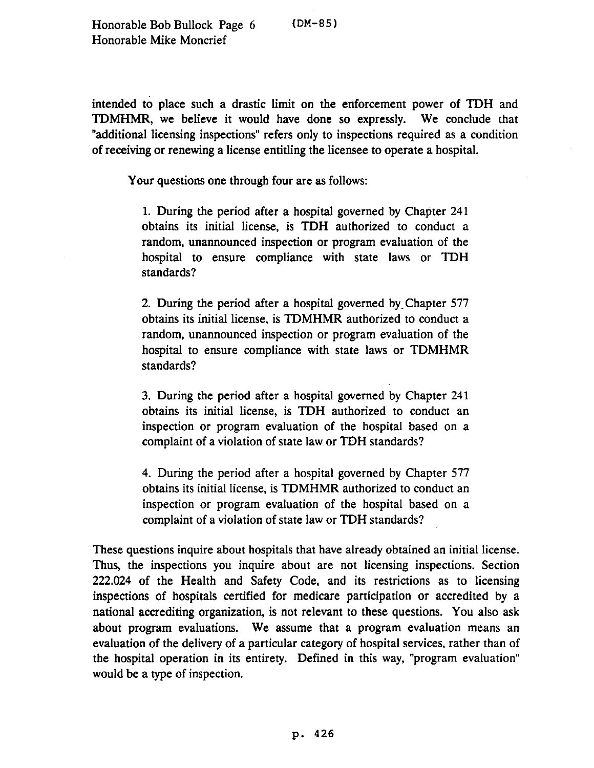intended to place such a drastic limit on the enforcement power of TDH and TDMHMR, we believe it would have done so expressly. We conclude that "additional licensing inspections" refers only to inspections required as a condition of receiving or renewing a license entitling the licensee to operate a hospital.

Your questions one through four are as follows:

1. During the period after a hospital governed by Chapter 241 obtains its initial license, is TDH authorized to conduct a random, unannounced inspection or program evaluation of the hospital to ensure compliance with state laws or TDH standards?

2. During the period after a hospital governed by.Chapter 577 obtains its initial license, is TDMHMR authorized to conduct a random, unannounced inspection or program evaluation of the hospital to ensure compliance with state laws or TDMHMR standards?

3. During the period after a hospital governed by Chapter 241 obtains its initial license, is TDH authorized to conduct an inspection or program evaluation of the hospital based on a complaint of a violation of state law or TDH standards?

4. During the period after a hospital governed by Chapter 577 obtains its initial license, is TDMHMR authorized to conduct an inspection or program evaluation of the hospital based on a complaint of a violation of state law or TDH standards?

These questions inquire about hospitals that have already obtained an initial license. Thus, the inspections you inquire about are not licensing inspections. Section 222.024 of the Health and Safety Code, and its restrictions as to licensing inspections of hospitals certified for medicare participation or accredited by a national accrediting organization, is not relevant to these questions. You also ask about program evaluations. We assume that a program evaluation means an evaluation of the delivery of a particular category of hospital services, rather than of the hospital operation in its entirety. Defined in this way, "program evaluation" would be a type of inspection.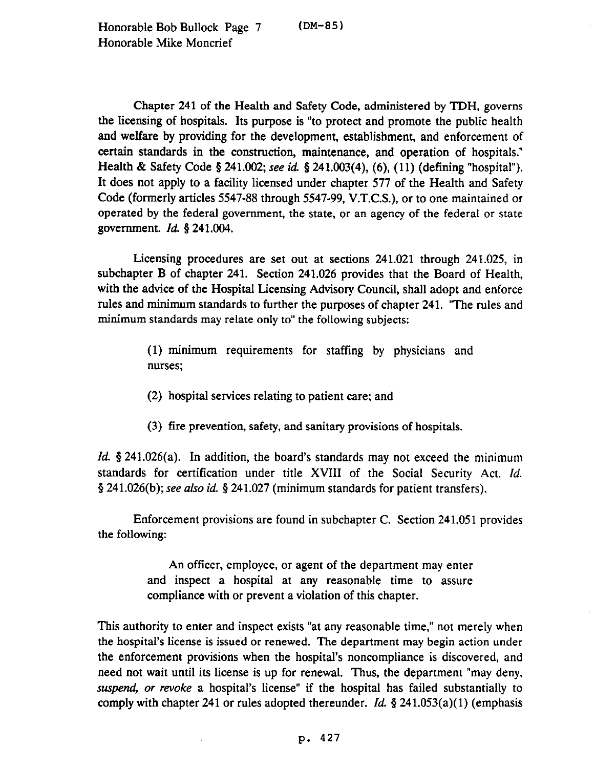Chapter 241 of the Health and Safety Code, administered by TDH, governs the licensing of hospitals. Its purpose is "to protect and promote the public health and welfare by providing for the development, establishment, and enforcement of certain standards in the construction, maintenance, and operation of hospitals." Health & Safety Code § 241.002; see id. § 241.003(4), (6), (11) (defining "hospital"). It does not apply to a facility licensed under chapter 577 of the Health and Safety Code (formerly articles 5547-88 through 5547-99, V.T.C.S.), or to one maintained or operated by the federal government, the state, or an agency of the federal or state government. *Id. \$241.004.* 

Licensing procedures are set out at sections 241.021 through 241.025, in subchapter B of chapter 241. Section 241.026 provides that the Board of Health, with the advice of the Hospital Licensing Advisory Council, shall adopt and enforce rules and minimum standards to further the purposes of chapter 241. 'The rules and minimum standards may relate only to" the following subjects:

> (1) minimum requirements for staffing by physicians and nurses;

- (2) hospital services relating to patient care; and
- (3) fire prevention, safety, and sanitary provisions of hospitals.

*Id.* § 241.026(a). In addition, the board's standards may not exceed the minimum standards for certification under title XVIII of the Social Security Act. *Id.*  9 241.026(b); see also *id.* \$241.027 (minimum standards for patient transfers).

Enforcement provisions are found in subchapter C. Section 241.051 provides the following:

> An officer, employee, or agent of the department may enter and inspect a hospital at any reasonable time to assure compliance with or prevent a violation of this chapter.

This authority to enter and inspect exists "at any reasonable time," not merely when the hospital's license is issued or renewed. The department may begin action under the enforcement provisions when the hospital's noncompliance is discovered, and need not wait until its license is up for renewal. Thus, the department "may deny, suspend, or *revoke* a hospital's license" if the hospital has failed substantially to comply with chapter 241 or rules adopted thereunder. *Id.* § 241.053(a)(1) (emphasis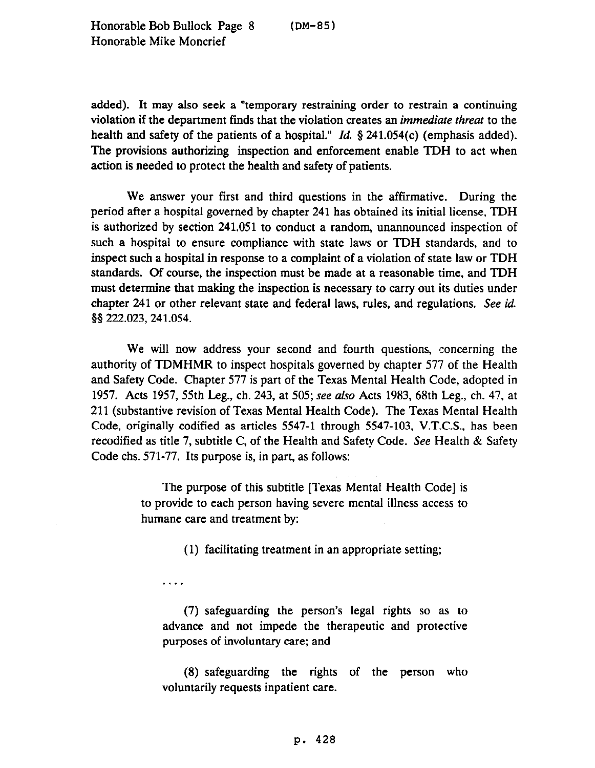added). It may also seek a "temporary restraining order to restrain a continuing violation if the department finds that the violation creates an *immediate threat* to the health and safety of the patients of a hospital." *Id.* § 241.054(c) (emphasis added). The provisions authorizing inspection and enforcement enable TDH to act when action is needed to protect the health and safety of patients.

We answer your first and third questions in the affirmative. During the period after a hospital governed by chapter 241 has obtained its initial license, TDH is authorized by section 241.051 to conduct a random, unannounced inspection of such a hospital to ensure compliance with state laws or TDH standards, and to inspect such a hospital in response to a complaint of a violation of state law or TDH standards. Of course, the inspection must be made at a reasonable time, and TDH must determine that making the inspection is necessary to carry out its duties under chapter 241 or other relevant state and federal laws, rules, and regulations. See *id.*  55 222.023,241.054.

We will now address your second and fourth questions, concerning the authority of TDMHMR to inspect hospitals governed by chapter 577 of the Health and Safety Code. Chapter 577 is part of the Texas Mental Health Code, adopted in 1957. Acts 1957, 55th Leg., ch. 243, at 505; see also Acts 1983, 68th Leg., ch. 47, at 211 (substantive revision of Texas Mental Health Code). The Texas Mental Health Code, originally codified as articles 5547-l through 5547-103, V.T.C.S., has been recodified as title 7, subtitle C, of the Health and Safety Code. See Health  $\&$  Safety Code chs. 571-77. Its purpose is, in part, as follows:

> The purpose of this subtitle [Texas Mental Health Code] is to provide to each person having severe mental illness access to humane care and treatment by:

> > (1) facilitating treatment in an appropriate setting;

. . . .

(7) safeguarding the person's legal rights so as to advance and not impede the therapeutic and protective purposes of involuntary care; and

(8) safeguarding the rights of the person who voluntarily requests inpatient care.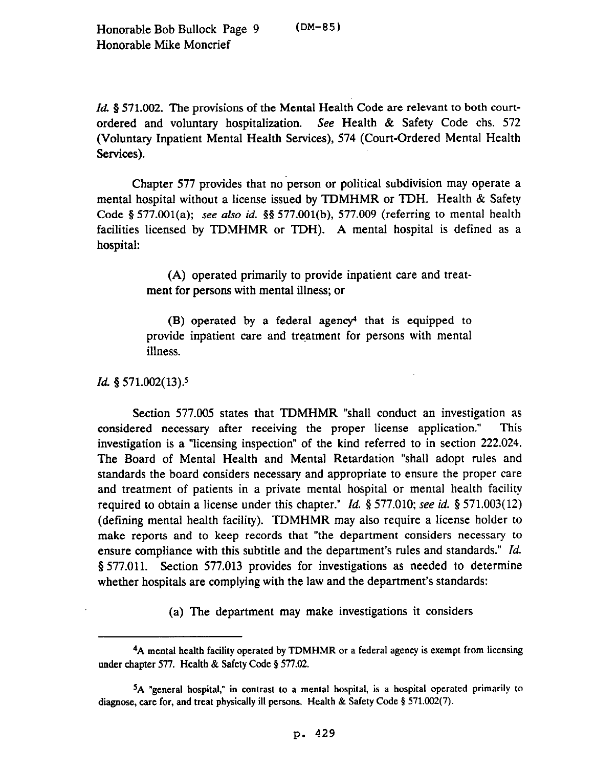Honorable Bob Bullock Page 9 (DM-85) Honorable Mike Moncrief

*Id.* § 571.002. The provisions of the Mental Health Code are relevant to both courtordered and voluntary hospitalization. See Health & Safety Code chs. 572 (Voluntary Inpatient Mental Health Services), 574 (Court-Ordered Mental Health Services).

Chapter 577 provides that no person or political subdivision may operate a mental hospital without a license issued by TDMHMR or TDH. Health & Safety Code 5 577.001(a); see also *id.* 5s 577.001(b), 577.009 (referring to mental health facilities licensed by TDMHMR or TDH). A mental hospital is defined as a hospital:

> (A) operated primarily to provide inpatient care and treatment for persons with mental illness; or

> $(B)$  operated by a federal agency<sup>4</sup> that is equipped to provide inpatient care and treatment for persons with mental illness.

## *Id.* § 571.002(13).<sup>5</sup>

Section 577.005 states that TDMHMR "shall conduct an investigation as considered necessary after receiving the proper license application." This investigation is a "licensing inspection" of the kind referred to in section 222.024. The Board of Mental Health and Mental Retardation "shall adopt rules and standards the board considers necessary and appropriate to ensure the proper care and treatment of patients in a private mental hospital or mental health facility required to obtain a license under this chapter." *Id. 5* 577.010; see *id. §* 571.003( 12) (defining mental health facility). TDMHMR may also require a license holder to make reports and to keep records that "the department considers necessary to ensure compliance with this subtitle and the department's rules and standards." *Id.*  8 577.011. Section 577.013 provides for investigations as needed to determine whether hospitals are complying with the law and the department's standards:

(a) The department may make investigations it considers

<sup>4</sup>A mental health facility operated by TDMHMR or a federal agency is exempt from licensing under chapter 577. Health & Safety Code § 577.02.

sA "general hospital," in contrast to a mental hospital, is a hospital operated primarily to diagnose, care for, and treat physically ill persons. Health & Safety Code  $\S 571.002(7)$ .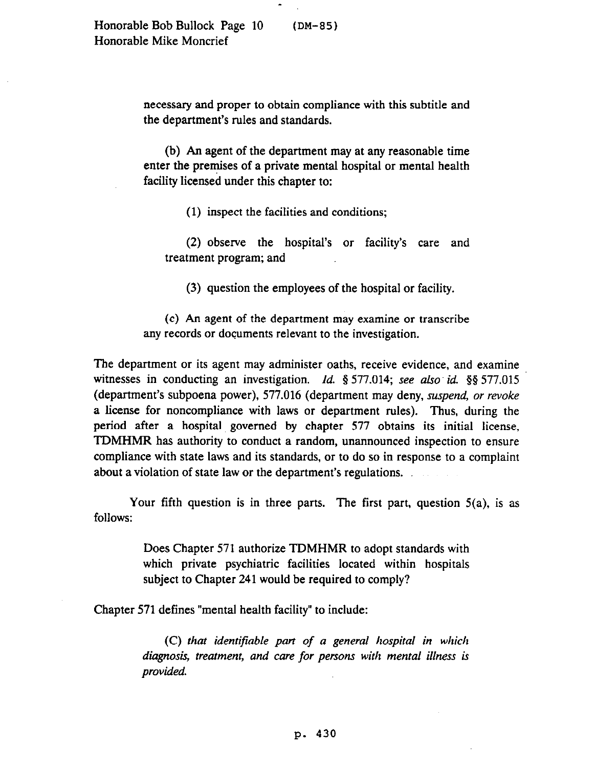necessary and proper to obtain compliance with this subtitle and the department's rules and standards.

(b) An agent of the department may at any reasonable time enter the premises of a private mental hospital or mental health facility licensed under this chapter to:

(1) inspect the facilities and conditions;

(2) observe the hospital's or facility's care and treatment program; and

(3) question the employees of the hospital or facility.

(c) An agent of the department may examine or transcribe any records or documents relevant to the investigation.

The department or its agent may administer oaths, receive evidence, and examine witnesses in conducting an investigation. *Id.* § 577.014; see also id. §§ 577.015 (department's subpoena power), 577.016 (department may deny, *szupend, or revoke*  a license for noncompliance with laws or department rules). Thus, during the period after a hospital governed by chapter 577 obtains its initial license, TDMHMR has authority to conduct a random, unannounced inspection to ensure compliance with state laws and its standards, or to do so in response to a complaint about a violation of state law or the department's regulations.

Your fifth question is in three parts. The first part, question 5(a), is as follows:

> Does Chapter 571 authorize TDMHMR to adopt standards with which private psychiatric facilities located within hospitals subject to Chapter 241 would be required to comply?

Chapter 571 defines "mental health facility" to include:

*(C) that identifiable part of a general hospital in which diagnosis, treatment, and care for persons with mental illness is provided.*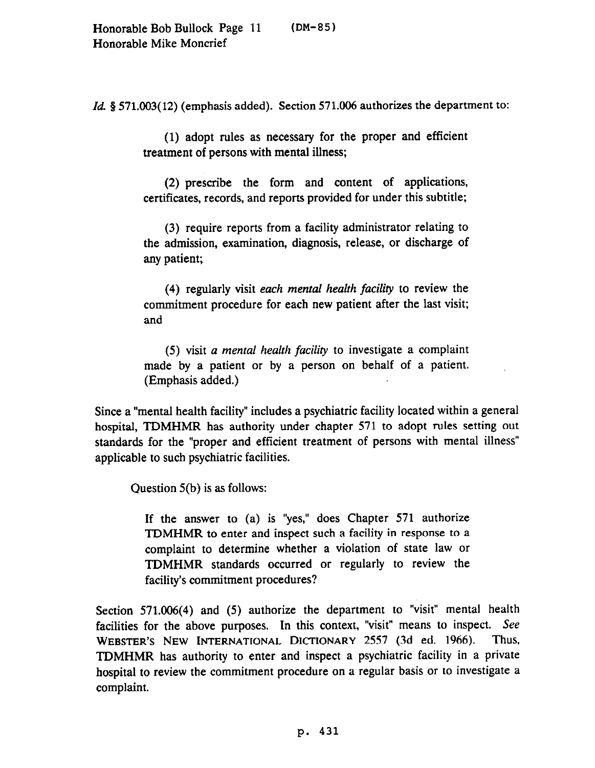*Id.* § 571.003(12) (emphasis added). Section 571.006 authorizes the department to:

(1) adopt rules as necessary for the proper and efficient treatment of persons with mental illness;

(2) prescribe the form and content of applications, certificates, records, and reports provided for under this subtitle;

(3) require reports from a facility administrator relating to the admission, examination, diagnosis, release, or discharge of any patient;

(4) regularly visit *each mental health facility* to review the commitment procedure for each new patient after the last visit; and

(5) visit *a mental health faciliv* to investigate a complaint made by a patient or by a person on behalf of a patient. (Emphasis added.)

Since a "mental health facility" includes a psychiatric facility located within a general hospital, TDMHMR has authority under chapter 571 to adopt rules setting out standards for the "proper and efficient treatment of persons with mental illness" applicable to such psychiatric facilities.

Question 5(b) is as follows:

If the answer to (a) is "yes," does Chapter 571 authorize TDMHMR to enter and inspect such a facility in response to a complaint to determine whether a violation of state law or TDMHMR standards occurred or regularly to review the facility's commitment procedures?

Section 571.006(4) and (5) authorize the department to "visit" mental health facilities for the above purposes. In this context, "visit" means to inspect. See<br>WERSTER'S NEW INTERNATIONAL DICTIONARY 2557 (3d ed. 1966). Thus, **WEBSTER'S NEW INTERNATIONAL DICTIONARY 2557 (3d ed. 1966).** TDMHMR has authority to enter and inspect a psychiatric facility in a private hospital to review the commitment procedure on a regular basis or to investigate a complaint.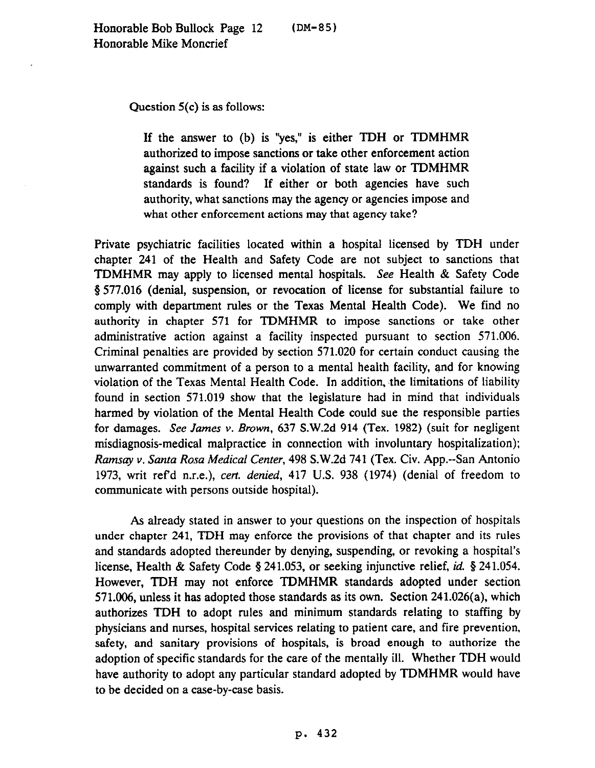Question 5(c) is as follows:

If the answer to (b) is "yes," is either TDH or TDMHMR authorized to impose sanctions or take other enforcement action against such a facility if a violation of state law or TDMHMR standards is found? If either or both agencies have such authority, what sanctions may the agency or agencies impose and what other enforcement actions may that agency take?

Private psychiatric facilities located within a hospital licensed by TDH under chapter 241 of the Health and Safety Code are not subject to sanctions that TDMHMR may apply to licensed mental hospitals. See Health & Safety Code 8 577.016 (denial, suspension, or revocation of license for substantial failure to comply with department rules or the Texas Mental Health Code). We find no authority in chapter 571 for TDMHMR to impose sanctions or take other administrative action against a facility inspected pursuant to section 571.006. Criminal penalties are provided by section 571.020 for certain conduct causing the unwarranted commitment of a person to a mental health facility, and for knowing violation of the Texas Mental Health Code. In addition, the limitations of liability found in section 571.019 show that the legislature had in mind that individuals harmed by violation of the Mental Health Code could sue the responsible parties for damages. See *James* v. Brown, 637 S.W.2d 914 (Tex. 1982) (suit for negligent misdiagnosis-medical malpractice in connection with involuntary hospitalization); *Ramsay v. Santa Rosa Medical Center,* 498 S.W.2d 741 (Tex. Civ. App.-San Antonio 1973, writ refd n.r.e.), *cert. denied,* 417 U.S. 938 (1974) (denial of freedom to communicate with persons outside hospital).

As already stated in answer to your questions on the inspection of hospitals under chapter 241, TDH may enforce the provisions of that chapter and its rules and standards adopted thereunder by denying, suspending, or revoking a hospital's license, Health & Safety Code § 241.053, or seeking injunctive relief, *id.* § 241.054. However, TDH may not enforce TDMHMR standards adopted under section 571.006, unless it has adopted those standards as its own. Section 241.026(a), which authorizes TDH to adopt rules and minimum standards relating to staffing by physicians and nurses, hospital services relating to patient care, and fire prevention, safety, and sanitary provisions of hospitals, is broad enough to authorize the adoption of specific standards for the care of the mentally ill. Whether TDH would have authority to adopt any particular standard adopted by TDMHMR would have to be decided on a case-by-case basis.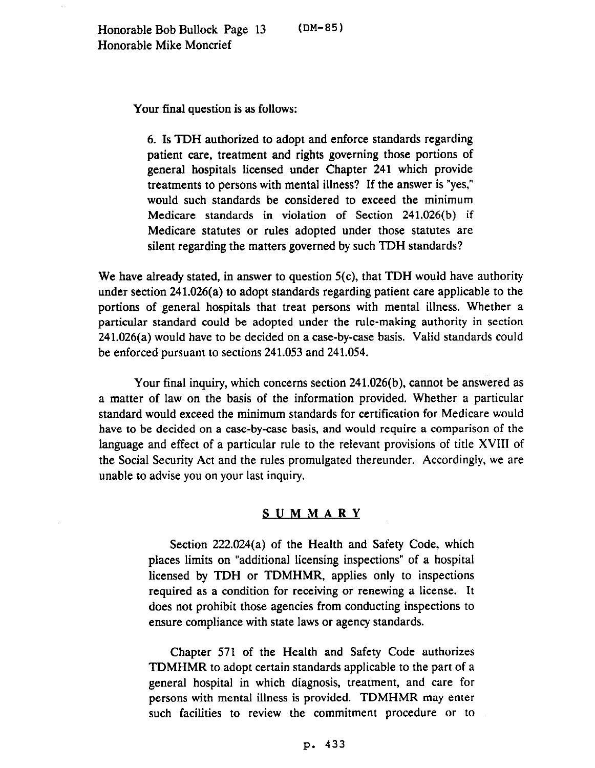Your final question is as follows:

6. Is TDH authorized to adopt and enforce standards regarding patient care, treatment and rights governing those portions of general hospitals licensed under Chapter 241 which provide treatments to persons with mental illness? If the answer is "yes," would such standards be considered to exceed the minimum Medicare standards in violation of Section 241.026(b) if Medicare statutes or rules adopted under those statutes are silent regarding the matters governed by such TDH standards?

We have already stated, in answer to question 5(c), that TDH would have authority under section 241.026(a) to adopt standards regarding patient care applicable to the portions of general hospitals that treat persons with mental illness. Whether a particular standard could be adopted under the rule-making authority in section 241.026(a) would have to be decided on a case-by-case basis. Valid standards could be enforced pursuant to sections 241.053 and 241.054.

Your final inquiry, which concerns section 241.026(b), cannot be answered as a matter of law on the basis of the information provided. Whether a particular standard would exceed the minimum standards for certification for Medicare would have to be decided on a case-by-case basis, and would require a comparison of the language and effect of a particular rule to the relevant provisions of title XVIII of the Social Security Act and the rules promulgated thereunder. Accordingly, we are unable to advise you on your last inquiry.

## SUMMARY

Section 222.024(a) of the Health and Safety Code, which places limits on "additional licensing inspections" of a hospital licensed by TDH or TDMHMR, applies only to inspections required as a condition for receiving or renewing a license. It does not prohibit those agencies from conducting inspections to ensure compliance with state laws or agency standards.

Chapter 571 of the Health and Safety Code authorizes TDMHMR to adopt certain standards applicable to the part of a general hospital in which diagnosis, treatment, and care for persons with mental illness is provided. TDMHMR may enter such facilities to review the commitment procedure or to